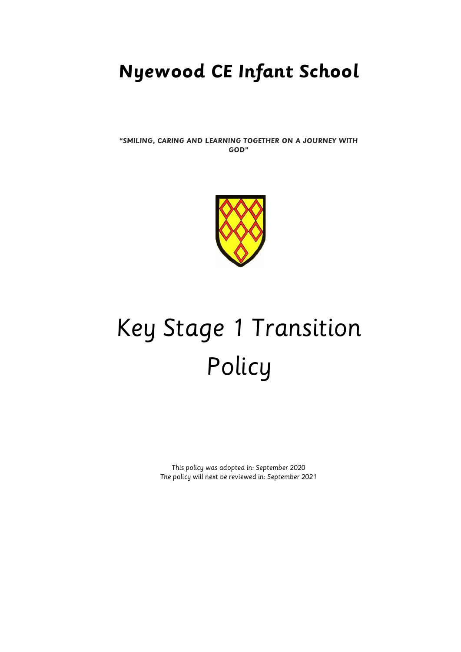# **Nyewood CE Infant School**

**"SMILING, CARING AND LEARNING TOGETHER ON A JOURNEY WITH GOD"**



# Key Stage 1 Transition Policy

This policy was adopted in: September 2020 The policy will next be reviewed in: September 2021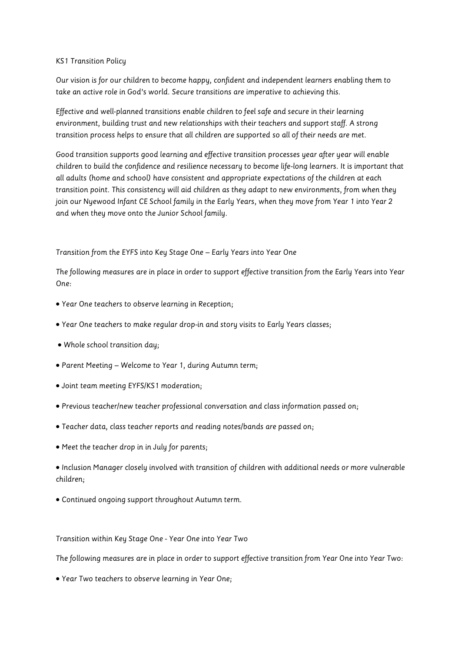## KS1 Transition Policy

Our vision is for our children to become happy, confident and independent learners enabling them to take an active role in God's world. Secure transitions are imperative to achieving this.

Effective and well-planned transitions enable children to feel safe and secure in their learning environment, building trust and new relationships with their teachers and support staff. A strong transition process helps to ensure that all children are supported so all of their needs are met.

Good transition supports good learning and effective transition processes year after year will enable children to build the confidence and resilience necessary to become life-long learners. It is important that all adults (home and school) have consistent and appropriate expectations of the children at each transition point. This consistency will aid children as they adapt to new environments, from when they join our Nyewood Infant CE School family in the Early Years, when they move from Year 1 into Year 2 and when they move onto the Junior School family.

Transition from the EYFS into Key Stage One – Early Years into Year One

The following measures are in place in order to support effective transition from the Early Years into Year One:

- Year One teachers to observe learning in Reception;
- Year One teachers to make regular drop-in and story visits to Early Years classes;
- Whole school transition day;
- Parent Meeting Welcome to Year 1, during Autumn term;
- Joint team meeting EYFS/KS1 moderation;
- Previous teacher/new teacher professional conversation and class information passed on;
- Teacher data, class teacher reports and reading notes/bands are passed on;
- Meet the teacher drop in in July for parents;

 Inclusion Manager closely involved with transition of children with additional needs or more vulnerable children;

Continued ongoing support throughout Autumn term.

Transition within Key Stage One - Year One into Year Two

The following measures are in place in order to support effective transition from Year One into Year Two:

Year Two teachers to observe learning in Year One;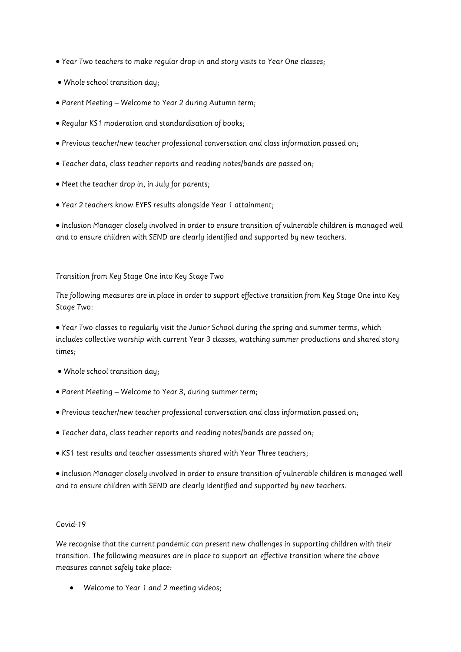- Year Two teachers to make regular drop-in and story visits to Year One classes;
- Whole school transition day;
- Parent Meeting Welcome to Year 2 during Autumn term;
- Regular KS1 moderation and standardisation of books;
- Previous teacher/new teacher professional conversation and class information passed on;
- Teacher data, class teacher reports and reading notes/bands are passed on;
- Meet the teacher drop in, in July for parents;
- Year 2 teachers know EYFS results alongside Year 1 attainment;

 Inclusion Manager closely involved in order to ensure transition of vulnerable children is managed well and to ensure children with SEND are clearly identified and supported by new teachers.

## Transition from Key Stage One into Key Stage Two

The following measures are in place in order to support effective transition from Key Stage One into Key Stage Two:

 Year Two classes to regularly visit the Junior School during the spring and summer terms, which includes collective worship with current Year 3 classes, watching summer productions and shared story times;

- Whole school transition day;
- Parent Meeting Welcome to Year 3, during summer term;
- Previous teacher/new teacher professional conversation and class information passed on;
- Teacher data, class teacher reports and reading notes/bands are passed on;
- KS1 test results and teacher assessments shared with Year Three teachers;

 Inclusion Manager closely involved in order to ensure transition of vulnerable children is managed well and to ensure children with SEND are clearly identified and supported by new teachers.

## Covid-19

We recognise that the current pandemic can present new challenges in supporting children with their transition. The following measures are in place to support an effective transition where the above measures cannot safely take place:

Welcome to Year 1 and 2 meeting videos;